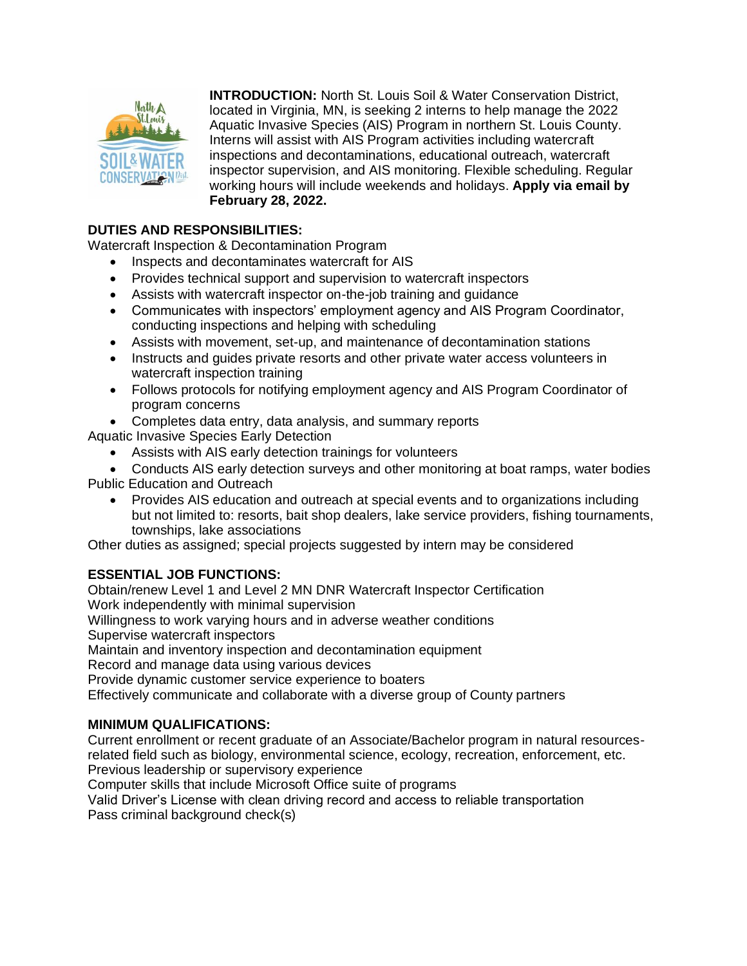

**INTRODUCTION:** North St. Louis Soil & Water Conservation District, located in Virginia, MN, is seeking 2 interns to help manage the 2022 Aquatic Invasive Species (AIS) Program in northern St. Louis County. Interns will assist with AIS Program activities including watercraft inspections and decontaminations, educational outreach, watercraft inspector supervision, and AIS monitoring. Flexible scheduling. Regular working hours will include weekends and holidays. **Apply via email by February 28, 2022.**

# **DUTIES AND RESPONSIBILITIES:**

Watercraft Inspection & Decontamination Program

- Inspects and decontaminates watercraft for AIS
- Provides technical support and supervision to watercraft inspectors
- Assists with watercraft inspector on-the-job training and guidance
- Communicates with inspectors' employment agency and AIS Program Coordinator, conducting inspections and helping with scheduling
- Assists with movement, set-up, and maintenance of decontamination stations
- Instructs and guides private resorts and other private water access volunteers in watercraft inspection training
- Follows protocols for notifying employment agency and AIS Program Coordinator of program concerns
- Completes data entry, data analysis, and summary reports

Aquatic Invasive Species Early Detection

- Assists with AIS early detection trainings for volunteers
- Conducts AIS early detection surveys and other monitoring at boat ramps, water bodies Public Education and Outreach
	- Provides AIS education and outreach at special events and to organizations including but not limited to: resorts, bait shop dealers, lake service providers, fishing tournaments, townships, lake associations

Other duties as assigned; special projects suggested by intern may be considered

# **ESSENTIAL JOB FUNCTIONS:**

Obtain/renew Level 1 and Level 2 MN DNR Watercraft Inspector Certification Work independently with minimal supervision Willingness to work varying hours and in adverse weather conditions Supervise watercraft inspectors Maintain and inventory inspection and decontamination equipment Record and manage data using various devices Provide dynamic customer service experience to boaters Effectively communicate and collaborate with a diverse group of County partners

# **MINIMUM QUALIFICATIONS:**

Current enrollment or recent graduate of an Associate/Bachelor program in natural resourcesrelated field such as biology, environmental science, ecology, recreation, enforcement, etc. Previous leadership or supervisory experience

Computer skills that include Microsoft Office suite of programs

Valid Driver's License with clean driving record and access to reliable transportation Pass criminal background check(s)